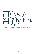# dvent habet

SUNDAY NOVEMBER 28 - CHRISTMAS EVE DECEMBER 24

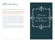

### The letters of the alphabet are magic.

They belong to each other, and when put together rightly they make words, and words build sentences, and sentences create stories, and stories lead us to truths by which we make sense of life.

Jesus, of course, knew the transformative force that imbues every letter, and so he described himself as "I am the Alpha and the Omega", employing the first and last letters of the 25-letter Greek alphabet as a metaphor to help us glimpse the dimension of reality that he inhabits. Through these two common letters whose only prominence is their position in the Greek alphabet, Jesus expressed the blinding illumination: I am Being itself. I am the one you seek and hope for. I am the one who knows you most fully and heals you most completely. With me you are complete.

This Advent Reader is organized around the letters of the English alphabet, each of which is the first letter in a word that has been rendered more luminous by its association with Advent. These Advent words illuminate the Way toward God.

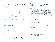

Advent Reading: Luke 1:26–38 Announcement of the Incarnation by the angel Gabriel to Mary

### Personal Reflections:

Annunciation is the word we Christians use for the angel Gabriel's announcement to Mary that she would give birth to a very special child.

On the surface, Gabriel's announcement doesn't seem a big deal. It wouldn't have made today's "Breaking News." Mary's whole situation was marked by commonness and, after all, anything plain and common can't be interesting, can't be worth my attention. Mary was likely a teenager living in a village of perhaps 500 people, located 2500 miles from Rome, the epicenter of power. It's as if CNN interrupted its regular programming with Breaking News that the sun had risen yet again this morning. Yawn. This is breaking news?

But Gabriel delivered startling news: you will give birth to a son who is God himself. The young woman would become, in fact, the chosen method of the Incarnation.

In W.H. Auden's poetic expression of Advent, For the Time Being, Gabriel tells Mary:

Hear, child, what I am sent to tell:

Love wills your dream happen, so

Love's will on earth may be, through you,

No longer a pretend, but true.

Now that's breaking news! We no longer have to pretend that God cares for us. We don't have to pretend that we have his attention. We don't have to pretend that God is near to help us. The Annunciation heralded something better than breaking news: it announced Good News.

### Heart prayer for this day:

You are the God of hopes and wounds,

dreams and fears,

the author and giver of all good things.

 $\widetilde{\text{Tpan}}$ k you for this  $\widetilde{\text{Crod}} \text{News}$ that makes us forever safe.





Advent Reading: Luke 2:1-20 Joseph and Mary and the birth of their first-born son

### Personal Reflections:

My internal picture of Bethlehem on that very first Christmas Eve has been shaped by the carol O Little Town of Bethlehem. I imagine silence and stillness infusing the very air over the little village, and the quiet night sky glittering with pinprick stars, each of which sang of a world unimaginably beyond the nearby hills. And a strangely bright star perched low in the sky, larger and brighter than a full moon, illuminating the silence and stillness as if it were an astonishingly powerful lantern, and as if Bethlehem were the single spot worthy of its shining.

The first section of the birth narrative in Luke 2 is very understated: Joseph and Mary journeyed to Bethlehem, where Mary gave birth. An altogether ordinary story, which surprises us after having read the astounding events conveyed in Luke's opening chapter.

But then Luke jerks us into reality: that the stillness of that night in Bethlehem was far different than all the stillnesses that had come before. All creation had been waiting for the words of the angel:

I bring you good news of great joy!

And the shepherds acted on behalf of all creation by running to the newborn child in the manger, a child who had entered into the world he had created.

### Heart prayer for this day:

- Let even the small rejoice!
- Let even the great rejoice!
- Let even the babes rejoice!
- Let even the aged rejoice!
- For the One who is God-with-us has come,
- The Demolisher of all evil and death has come,
- Our Connector to God has come!

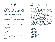

Advent Reading: Philippians 2:3-8 the Child who makes God accessible

### Personal Reflections:

There is a stream of old folktales from Eastern Europe that features a Glass Mountain. In these stories, a boy or girl – and sometime both -- walks a path that leads to a glass mountain. They can't turn back, and they can't go around the mountain; their only choice is to climb it. But the mountain that looms above them is a sheer face of glass – no footholds, no handholds.

At times, I think of God as a Glass Mountain, the summit of which is remote, inaccessible, unattainable. It's often during a moment in which I feel orphaned from God, beaten down by the wounds and terrors of life, or my own selfpunitive narrative. If climbing to the summit of the Glass Mountain is a metaphor for knowing God, then I'm bereft of hope

The Child of Bethlehem is our only hope. In the Child, God painted himself in one broad sweep across heaven. The Child was a self-portrait, given so that we could look upon his face, hear his words, and have an inkling as to what he's like. Here, look here, the Child says. If you could climb the Glass Mountain, the summit would look like this. Look at me and see God.

In W.H. Auden's poetic expression of Advent, For the Time Being, the angels bid the shepherds to rejoice in the unimaginably good news that the Child has made God accessible:

*And generations Of the unborn all Are leaping for joy… That after today The children of men May be certain that The Father Abyss Is affectionate To all Its creatures,*

### Heart prayer for this day:

*It was not enough for God to send his Son to point out the way - he made his Son the way itself, so that we can go on our journey guided by him as he walks along his own way.*

*Augustine*



Advent Reading: Psalm 126 Jesus is the Dream & Desire of our heart

### Personal Reflections:

Neil Gaiman's mesmerizing, modern epic The Sandman featured seven siblings, each of whom represented and ruled an aspect of human life. Each of their names began with the letter D: Dream, his twin sister Death, Destiny, Despair, Desire, Delirium and Destruction.

Gaiman first thought of becoming a writer on his 7th birthday, which was the day he first read C.S. Lewis' The Chronicles of Narnia. In honor of that connection, I'm using the letter D for Dream in describing Jesus.

It was as if we were walking in a dream. That first sentence in today's Advent Reading describes in euphoric language the joy of those who were making their way home to Jerusalem after the long, catastrophic exile in Babylon. It was as if we were walking in a dream. Their wildest dream had come true.

How much more, then, is Jesus our Dream-Come-True, the one for whom our soul yearns and hopes. For what can be imagined or dreamed more beautiful than a kind God, a God who takes on our terrors and wounds and fears, a God who loves us beyond our zaniest dream, a God who never ceases in his attention to us, and whose endgame with us is the cure of our souls. He is, indeed, "the Desire of all nations" (Haggai 2:7 )

### Heart prayer for this day:

*Let the dreamers come, let them walk the Way that leads toward home. Let the dreamers see, let their eyes take in God's Guaranty. For they walk the High-Way that leads to dreams come true, all things made new on God's Eighth Day.*



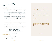

Advent Reading: Revelation 21:1-6 Our God has brought to us a New Day.

### Personal Reflections:

In the Genesis account, Adam named his wife Eve in that she "would be the mother of all the living." Yet she has been censured throughout human history for doing nothing more than I do every day, which is to think and act with a me-first priority.

Eve's hope is my hope: God is in the renovation business. Thank goodness God is not "making new things" – that is, ditching me – but "making all things new", scouring us clean and changing the direction of our love. God is bringing his treasured creation back full circle to fresh newness.

This gracious remaking is illustrated in the astonishing artwork Mary and Eve, by Sister Grace Remington, from Sisters of the Mississippi Abbey in Dubuque, Iowa. Drawn in pencil and crayon, it is an extraordinary expression of gracious kindness and comfort. Mary stands to the right, full with child and clothed in a white robe and blue cloak. She is reaching out to caress Eve's cheek, an intimate act of gentle care and love.

A downcast Eve is clothed only in her long hair and is still clutching a piece of fruit in her right hand. But Mary has taken Eve's left hand in hers and placed both on her pregnant belly. All is not lost. The Rescuer is coming. Here, feel him. Eve's sorrow and Mary's joy draw them to the Child.

Inspired by the drawing, another sister at the Abbey wrote a poem imagining Mary's words for this moment as Mary and Eve together touched the unborn baby:

*My mother, my daughter, life-giving Eve Do not be ashamed, do not grieve. The former things have passed away Our God has brought to us a New Day. See, I am with Child, through whom all will be reconciled. O, Eve! My sister, my friend We will rejoice together, forever Life without end.*

Heart prayer for this day:

*Jesus, like us, you are the son of Eve, the woman you formed in the youngest days. I rejoice with her that you've brought about An Eighth Day, in which all things are made new.*



1 And I saw a new heaven and a new earth: for the first heaven and the first earth were passed away; and there was no more sea.

2 And I John saw the holy city, new Jerusalem, coming down from God out of heaven, prepared as a bride adorned for her husband.

3 And I heard a great voice out of heaven saying, Behold, the tabernacle of God is with men, and he will dwell with them, and they shall be his people, and God himself shall be with them, and be their God.

4 And God shall wipe away all tears from their eyes; and there shall be no more death, neither sorrow, nor crying, neither shall there be any more pain: for the former things are passed away.

5 And he that sat upon the throne said, Behold, I make all things new. And he said unto me, Write: for these words are true and faithful.

6 And he said unto me, It is done. I am Alpha and Omega, the beginning and the end. I will give unto him that is athirst of the fountain of the water of life freely.

*Revelation 21:1-6*

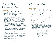

Advent Reading: 2 Corinthians 1:2-3 God's comfort for all our hurts

### Personal Reflections:

Every year from 1920 to 1942, the four children in the Tolkien household – first John, and later Michael, Christopher and Priscilla – received a letter from Father Christmas. The letters began arriving when John was a three-year-old and continued until the youngest children were teens.

Each year the mysterious envelope appeared on their fireplace. It bore North Pole stamps and postage marks and was addressed to the children in spidery handwriting. Inside the strange envelope was a letter written in the same spidery script and describing the adventures and goings-on at the North Pole, accompanied by illustrations. The letters and drawings often featured the clumsy hijinks of Father Christmas' good hearted but mischievous helper, North Polar Bear or NPD for short, who was adept at knocking over Christmas trees and freezing his tongue to the North Pole.

The actual author of the letters, of course, was the four children's loving father, JRR Tolkien, Oxford professor and scholar, and now famous for his epic myth Lord of the Ring. The Tolkien children kept every letter they received from Father Christmas and published the collection as a loving tribute to their father on the 3rd anniversary of his death.

Each time I re-read Tolkien's Letters from Father Christmas, I'm reminded that Advent is a yearly letter from God our Father. It is an invitation, from a loving father to his children, to remember the wonder and the adventure of life with him. The good news is that the adventure is open to all, even to those of us who are nothing special.

Like shepherds who were trying to stay awake and ready to fight off predators or thieves, when suddenly angels sang, "Listen!"

Like three pilgrims making a long, long journey to a place in which they knew they would be unwelcomed, all for a strange star that beckoned them, "Follow!"

And like a frightened unmarried girl petrified that her most scandalous fear had come upon her, all for a God who said, "Wake."



Advent Reading: Luke 15:1-10 the God of persistent, insistent grace

### Personal Reflections:

In February 1843, passengers onboard the good ship Owen Glendower off the Cape of Good Hope reported a "short, dagger-like object" that closely followed the sun toward the western horizon.

This dagger was the Great Comet of 1843, a collection of rocks and dust and gas that had been pulled and stretched and brightened as it screamed toward the sun, around which it orbited every 600-800 years. Eventually the comet's streaming tale stretched 200 million miles, a distance greater than the orbit of the planet Mars.

Modern astronomers classify the Great Comet of 1843 as one of the largest of the family of "sungrazers" that make their way from the distant borders of our Solar System, so attracted by the sun's gravitational pull that they graze the Sun's outer atmosphere.

I think that God's grace is like gravity. Grace is the gravity of a persistent and insistent God who pulls us, incrementally and inexorably, toward him, despite the fact that we spend too many moments running the other way as hard as we can run. Despite the fact that we are the human equivalent of a comet's rocks and dust and gas, God attracts us with his beams of wonder, pulling and stretching and brightening our souls. If a comet has the ability to think, perhaps it wonders "Why is that star so infatuated with me?" So it is for us creatures caught in the fortunate pull of God's gravity:

> *What is there in my heart that you should sue so fiercely for its love? What kind of care brings you as though a stranger to my door through the long night and in the icy dew seeking the heart that will not harbor you, that keeps itself religiously secure? Geoffrey Hill: Lachrimae Amantis*



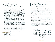

Advent Reading: Matthew 12:9-21 And his name will be the hope of all the world

### Personal Reflections:

Pandora's Box, the ancient Greek myth originally written six centuries before the birth of Jesus, has prompted many variants over the centuries. For example, in some variants Pandora intentionally opened the jar left in her care, while in other versions she was deceived to do so. As to the contents that escaped before Pandora could hastily close the jar, one version defined them as the evils that afflict the world, evils such as sickness and death, while another version described them as the wondrous gifts of the gods, gifts that now have been lost. What makes the myth significant, however, is that every version of the myth, from original to modern, has identified hope as the one thing remaining in the box.

I think that ancient myths contain true things that are waiting for the One True Thing who makes them come fully alive. So it is with hope in the story of Pandora and her box. The true thing in her story is that we humans cannot cope with life's wounds and fears without hope.

Yet there is tension in hope. While hope is indispensable, we lack accessibility to it. That is, we have an innate hope for things that lie beyond our accessibility. We hope and yearn that God exists and is good. We hope and long that death is not the end, and that we and our loved ones are not simply erased when consciousness unwinds from the body. We hope and ache for all creation to be set right, that all hurt and harm and suffering be cast away forever.

Hope, then, is a signpost that points toward the One who makes it come alive, the One who is God's Guaranty that our hopes are not in vain. As today's Advent Reading concludes with a crescendo: the mere sound of his name will signal hope, even among far-off unbelievers. (The Message)

### Heart prayer for this day:

*Jesus, in your name I hope. You, gentlest of Ways, You, authentic and incredible Truth, You, my sustaining Life. Your very name is Hope.*



Advent Reading: John 1:1-5, 14-18 God as plain as day

### Personal Reflections:

John, the closest confidante and friend of Jesus and the one to whom Jesus entrusted the care of his very own mother, began his Gospel narrative with a spellbinding description of God's overwhelming entry into human reality. Being itself appeared. The Creator became creature.

God's approach was the opposite of that described in Greek mythology. When Greek gods such as Zeus would disguise themselves as humans for purposes of deceit and deception, no human could recognize them, as long as the gods remained in disguise,

Not so with God: Here I am. I'm standing right in front of you. I know it's difficult for you to know it's me, so I'm sending angels and a herald to call your attention to me, and I will do remarkable marvels that only I can do, most of those marvels having to do with healing you of fear and hurt and suffering. And you already know my voice. Listen.

Jesus spilled into our midst in order to be recognized. Eugene Peterson's translation of John 1:18 captures it perfectly: Jesus came to make God "as plain as day." Jesus came to be seen and to describe the unimaginably complex God who cannot be seen by human eyes. There is much about God we would not know were it not for Jesus.

#### Heart prayer for this day:



*so that we, rather than being blinded by God's sheer brightness, too bright for us to see, may see his face clearly. Help me not undo my gaze from your light.*



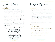## J is for Joseph

### Advent Reading: Matthew 1:18-25

### Personal Reflections:

The Gospel of Matthew relates the birth narrative of Jesus from a male perspective, specifically that of Joseph. Such a perspective is unsurprising, given that Matthew opened his Gospel narrative with a detailed genealogy tracing Joseph's lineage back some fifteen or twenty centuries to Abraham, founder of the Hebrew people. Yet no permutation of fathers and sons in this list was asked to bear a burden equal to that of Joseph.

While Mary was asked to be the birth-mother of Jesus even though a virgin, Joseph was asked to play only an auxiliary role in the conception and birth of his own son. Unlike every male in his lineage, Joseph was not the initiator of his first-born son's conception. The angel's words must have provoked intense spiritual turmoil. Both he and Mary would be exposed to gossip, embarrassment, and ridicule. Surely Joseph heard snickers and open questions about his son's paternity and his wife's faithfulness.

It's no wonder that the angel urged him to act with courage in marrying Mary. Joseph was being asked to act in faith at the most intimate level conceivable: the woman he loved would bear a child that was not of his origination. Some men in his lineage had been disinterested fathers and husbands; Joseph was asked to be unlike them.

I wonder: how many times in their marriage did Joseph hold Mary to his heart as she wept from wounding gossip? Perhaps he comforted her with words such as these:

> *You didn't need me to bear this Child, This newborn, this babe, God in disguise. But I wouldn't have known a God so wild As to use you and me to reprise His loved creation. For this One in our arms, The star shines and the angel voices sing, Shepherds roam and kings sense alarm, For he is Morningstar with healing in his wings. Tonight we are his spies, but in time he will create An endless stream at heaven's wide gate. Joseph's Song to Mary, stanza 2 Birth*



Advent Reading: Titus 3:4-7 the very Kindness of God

### Personal Reflections:

There is much about God that we would not know absent Jesus. At the top of my list is the hope that God is kind, for what could be imagined more marvelous than a good and kind God? And what could be more needed?

Jesus was the One who came directly from God's heart and who knew God's heart better than anyone. It was as if he went into God's storehouse of kindness and bathed himself in it, so that everyone he touched and addressed was washed with kindness.

It was Jesus who said: Let me tell you what God is like. He is like a shepherd who has plenty of sheep, but one lone sheep has wandered away. The shepherd cares so much for his sheep that he searches every pastureland and rocky slope and wilderness until he locates the lost one. The shepherd scoops the sheep into his arms and holds it closely all the way home, and then he sings for joy to his neighbors that he has found his sheep.

Such glimmerings persuade us to entrust the cure of our soul to this Kind One who came from the middle of God's heart.

Heart prayer for this day:

God, you are good.

You are holding me as a mother holds an infant,

so close that their heartbeats are one.

 $\widetilde{\mathrm{Vol}}$  are singing to the angels about me

as you dance in the joy of love.



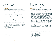

Advent Reading: Matthew 4:12-17 the Lantern of the Good God

### Personal Reflections:

The Lantern of the Good God has shone for 800 years. It is the popular nickname for Metz Cathedral in north-eastern France. Sparkling light bathes the church's interior due to the distinctive honey-like glow of local limestone used in its construction and the dazzling colors of 70,000 square feet of stained glass, an expanse that is among the world's largest.

To sit in Metz Cathedral is to have one's soul bathed in light, a light that emanates from stone and glass that depict the Gospel. It is to be reminded by numinous materials that Jesus is the Light of the world. It is to be reminded that Jesus' light is self-transcending in that wherever Jesus is, there is light, and it's enough light for us to live in.

In today's Advent Reading, the Gospel of Matthew laid bare the reality contained in Jesus' initial step in announcing the Good News that God has come near. His bright light began to flood darkened souls.

Years later, Paul wrote to some of those whose lives had been illumined by God's Lantern, Jesus:

God said that light should shine out of the darkness. He is the same one who shone in our hearts to give us the light of the knowledge of God's glory in the face of Jesus Christ.

2 Corinthians 4:6 (Common English Bible)

### Heart prayer for this day:

*Jesus, you are the Lantern of the Good God, the God of light, illumined by your own self. I desperately need your light. I too often stumble around in the dark, and the dark frightens me. I beg you, flood my heart with your light. shine on me, you who are the Lantern of God.* 



Advent Reading: Luke 1:38-56 Mary magnifies the Lord

### Personal Reflections:

As we read the Gospel narratives over and over again – which we should do – we have to guard against our familiarity leading us to de-humanize the characters. That is, losing sight of the reality that they were people like us, with very human traits such as courage, fear, perseverance, doubt.

The late Rachel Held Evans had this in mind when she observed about Mary:

Much could be said in contrast about the "real Mary" of the biblical narrative: the teenage girl from Nazareth who gave birth on a dirty stable floor; the terrified mom who scurried frantically through the streets of Jerusalem, looking for her lost little boy; the woman who had enough influence over Jesus to convince him to liven up a wedding with his first miracle of turning water into wine; the grieved mother who wept in the shadow of the cross.

The snapshots of Mary in the Gospel documents should convince us of her humanity. Even more so, the Gospel pages show her living out the reality that every decision we make shapes our soul. That is, every decision changes the substance of who we are and our disposition for the next time. Each decision, whether big or small, moves us either toward God or not.

Mary's assent to be the birth-mother of Jesus was as real a decision as the mundane decisions that face us. She was a young woman confronted with extraordinary news that would change her life forever. When I read Luke's account, I sense that all creation waited for her answer: Then Mary said, "I am the Lord's servant. Let it be with me just as you have said." Then the angel left her. Luke 1:38.

W.H. Auden captures this moment in his poetic expression of Advent, For the Time Being, by having Gabriel tell Mary:

*What I am willed to ask, your own Will has to answer; child, it lies Within your power of choosing to Conceive the Child who chooses you.* 



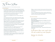

Advent Reading: John 10:1-5, 11-15 the God who knows us by name

### Personal reflections:

Jesus employed an extended metaphor of sheep and shepherd to describe the intensely personal nature of his love for us. He used this shepherd/sheep metaphor to draw in sharp relief the reality of our limitless belonging to him. His remarkable words echo in our hearts: I call my own sheep by name.

I confess that I'm often annoyed that the Gospel narratives exclude the names of many of the people Jesus healed or helped.

The unnamed woman dragged before Jesus by an abusive religious mob ( John 8)

The unnamed woman in Luke 7 who courageously ventured into a dinner party at which she knew she would be unwelcome, but she was impelled by gratitude to wash Jesus' feet with her tears and hair.

The ten unnamed lepers in Luke 17 that Jesus healed and then instructed to fulfill their religious ceremonial obligation. I'd especially like to know the name of the one newly-healed leper who returned to thank Jesus.

The unnamed paralyzed man whose friends lowered him on a mat through the roof of a house because they had been unable to carry him through the crowds blocking the door of the house.

The unnamed man in Mark 7 who could neither speak nor hear. Jesus touched the man's tongue and ears and then said Be opened.

I want to know more. I want to know each person's name and story. What had happened in their life-story to bring them to the point recorded in the Gospel narrative? What did they do in their following years, given the intrusion of grace that spilled into their heart?

Perhaps, though, knowing their names would distract me from the Gospel story. Perhaps that was the Gospel-Makers' intention: to hold the reader's attention on Jesus and his kindness.

Perhaps, too, it gives me sanction to insert my name into the story, to hear as if with my own ears Jesus say Be opened or Grab your mat and walk or Your sins are forgiven.

And, even more likely, the absence of names is a gentle reminder that my own name is unknown from a global or historical perspective. I am, indeed, just like these unnamed recipients of Jesus' kindness.

Heart prayer for this day:

*Jesus, we know the names of only some of your friends. But not all of them.*

*Not the names of family and friends at the wedding in Cana, where waterpots became special.*

*Not the name of the widow of Nain, who went from desperation to ecstasy.*

*Not the name of the woman catastrophically crippled for 18 torturous years*

*or the woman who rained tears on your feet* 

*or the man who lived among the tombs.*

*We know that you know our name – and you know all the names we call ourselves.*

You have the care and cure of our souls in your hands.

Keep us steady.



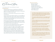#### 3RD SUNDAY IN ADVENT – DECEMBER 12



Advent Reading: Isaiah 9:1-7 Jesus is the Wonder of a Counselor

### Personal reflections:

We humans instinctively open our mouth when we're struck by joyous, unexpected wonder: a marriage proposal, a brother home from war, a surgeon's news that a loved one will live. In these moments, we often hold our hands over our mouth lest our heart escape.

Surely Mary's eyes widened and her mouth opened as her heart trembled at Gabriel's greeting.

Surely the unnamed woman in John's Gospel who was accused of adultery by a religious mob opened her mouth in wondrous surprise at Jesus' kind words: "You matter. You're not the sexual toy of some man. You're not this crowd's tool of rage and revenge and self-righteousness. You are the treasure of God – now start down the path of healing."

Surely the woman in Luke's Gospel who had been catastrophically crippled by a terrible affliction that had bent her double for eighteen years, surely this woman clasped her hands to her open mouth when she wondrously looked at the sky and the faces of her loved ones and Jesus' eyes.

And surely the sisters Mary and Martha fell to their knees, transfixed and open-mouthed, when their dead brother walked out of his tomb.

I wonder, then: is wonder a precondition of wisdom? Might my moments of distraction and indolence as a follower of Jesus simply be the result of a diminishment in my sense of wonder? When we were children, we loved fairytales because they were filled with wonder – magic mirrors and rings, dragons and beasts, heroes and adventure. Perhaps as adults our sense of wonder is rusted. Fortunately, our Soul-Counselor is himself a Wonder, a one-of-a-kind Wonder. And he is the same counselor who created wonder in Mary, and in the unnamed women in the Gospels, and in Mary and Martha.

Heart prayer for this day: *Jesus, you are the music that I hear so faintly at the deep center of my soul. Sometimes I have to be very quiet in order to hear it, but it's always there, a song singing to my heart. What a Wonder you are.*

> <sup>1</sup> Nevertheless the dimness shall not be such as was in her vexation, when at the first he lightly afflicted the land of Zebulun and the land of Naphtali, and afterward did more grievously afflict her by the way of the sea, beyond Jordan, in Galilee of the nations.

> <sup>2</sup> The people that walked in darkness have seen a great light: they that dwell in the land of the shadow of death, upon them hath the light shined.

> <sup>3</sup> Thou hast multiplied the nation, and not increased the joy: they joy before thee according to the joy in harvest, and as men rejoice when they divide the spoil.

<sup>4</sup> For thou hast broken the yoke of his burden, and the staff of his shoulder, the rod of his oppressor, as in the day of Midian.

<sup>5</sup> For every battle of the warrior is with confused noise, and garments rolled in blood; but this shall be with burning and fuel of fire.

6 For unto us a child is born, unto us a son is given: and the government shall be upon his shoulder: and his name shall be called Wonderful, Counsellor, The mighty God, The everlasting Father, The Prince of Peace.

<sup>7</sup> Of the increase of his government and peace there shall be no end, upon the throne of David, and upon his kingdom, to order it, and to establish it with judgment and with justice from henceforth even for ever. The zeal of the Lord of hosts will perform this.

Isaiah 9:1-7



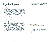## $\mathcal P$  is for Pilgrim

Advent Reading: Isaiah 35 God's High-Way

### Personal reflections:

Christians for centuries have taken pilgrimages. Such treks were so popular that Dante and Chaucer framed their 14th century epics around a pilgrimage. Today more than 300,000 people each year follow the 12th century Camino de Santiago (Way of St. James) that stretches 500 miles along an ancient Roman trade route from the French side of the Pyrenees across northern Spain to the shrine of the apostle James in the cathedral of Santiago.

One Christmas my wife and I took something of a pilgrimage. We were in England to visit our daughter and her husband, so we took the 45-minute train ride to Oxford, a place that for me is forever associated with C.S. Lewis.

On an English winter day, the sun noticeably begins to set at mid-afternoon, but nothing could dim the wonder as we walked High Street toward Magdalen College (pronounced "Maudlin"), where Lewis taught for half a century. We stopped to kneel in the darkened silence of the Church of St. Mary the Virgin, in whose pews and windows students sat on the occasions Lewis was asked to address the student body. Then – marvel of marvels! – we stood at the gate of Magdalen, shuttered for Christmas break, and saw with our own eyes the college chapel where Lewis began every day with Morning Prayer, and beyond the courtyard the New Building in which were Lewis' rooms. His rooms were on the second floor near the middle of the building, directly to the right of the protruding center section, above the wisteria. Then, of course, we took tea at The Rose Oxford tea house across the street.

Why do we take pilgrimages, even we modernists? I think it's because we yearn to step out of ourselves; to find a place that overcomes all the background noise and pandemonium that normally fills our senses and brain. It's only in such stillness that we hear and see that our whole life is a pilgrimage toward God, that insistent and persistent God who has built a High Way to him, then summons us to walk it toward him, and keeps us safe on the way.

Eugene Peterson's The Message has translated today's Advent Reading in beautiful and gracious language:

*There will be a highway called the Holy Road. No one rude or rebellious is permitted on this road. It's for GOD's people exclusively impossible to get lost on this road. Not even fools can get lost on it. No lions on this road, no dangerous wild animals— Nothing and no one dangerous or threatening. Only the redeemed will walk on it. The people GOD has ransomed will come back on this road. They'll sing as they make their way home to Zion, unfading halos of joy encircling their heads, Welcomed home with gifts of joy and gladness as all sorrows and sighs scurry into the night.*

### Heart prayer for this day:

Jesus, thank goodness you're the God of Pilgrims,

for I've lost my way again.

Sometimes I don't sense that you are there.

Sometimes I don't feel that your arms are outstretched.

Sometimes I don't feel welcome in your arms.

Yet each time I'm persuaded that you are far away, you announce that you are near.

And once you arrive, you're always here.



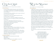

Advent Reading: 1 John 3:18-20 God is greater than our worried hearts

#### Personal reflections:

It was quiet and still on that first Christmas Eve, when God the Universe-Crosser stepped from behind borders of blinding light and made plain as day something we could never have seen on our own: God's inexhaustible reservoir of kindness.

The shepherds in the fields near Bethlehem surely were quiet as they listened for any sound of threat to their sheep.

The Magi surely were quiet as they trudged the long miles from their homeland, tracking a very strange star.

The star made no noise as it blazed above Bethlehem, beaming as if the birthplace of God's Son were the single spot in all heaven and earth worthy of its incandescence.

And surely Mary and Joseph gazed at their just-born son in quiet wonderment. Given that both parents had spoken with God's messenger Gabriel, perhaps they whispered to their special son:

*what must have been your words*

*to tell the Father your wish*

*to come to earth to save*

*those thrown upon the waves.*

But how do I integrate into my life such quiet and stillness? I have an intense longing for a coherent interior life, yet too often within me is a savage clamor of spiritual anxieties. What can bring peace to my spirit?

Fortunately, I have advice from the Apostle John, a close confidant of Jesus and faithful to the end of his long life: "God is greater than my worried heart." Ah yes, that's God's prescription for spiritual anxiety! I have to continually integrate grace, which is the fact that God is the One who knows me absolutely and yet still loves me completely.

### Heart prayer of this day:

*Jesus, I am awash with anxiety and worry every day. Please help me. Soothe me, I beg you. Comfort me in the one place I can be comforted – in your arms.* 



Advent Reading: Luke 7:18-23 Help for the Helpless

### Personal Reflections:

As JRR Tolkien convalesced in 1916 to recover from trench fever, a chronically debilitating condition that ravaged WW1 soldiers, he began writing the very first story in his epic legend of Middle-earth. In the story, the Elf princess Lúthien and her husband traveled at great peril to rescue friends that had been imprisoned in the horrible pits of Sauron's stronghold. When the couple reached the bridge at the fortress gate, the princess began her rescue by … singing!

In that hour Luthien came, and standing upon the bridge that led to Sauron's isle she sang a song that no walls of stone could hinder…Luthien stood upon the bridge and declared her power, and the spell was loosed from stone to stone, and the gates were thrown down, and the walls opened, and the pits laid bare; and many thralls and captives came forth in wonder and dismay, shielding their eyes against the moonlight, for they had long lain in the darkness…

Today's Advent Reading offers this same breathless picture of rescue. Luke inserts the question of John the Baptist among three marvels: Jesus' healing a centurion's desperately ill servant, Jesus' bringing back to life the only son of a widow, and his exchange with a woman who had been so brutalized that she rained tears on his feet. The question from John the Baptist's prison cell is equally desperate: Jesus, I'm about to die. I need to know that you are authentic, so that I can have hope.

Jesus' response is bereft of propositional argument. Look around you, John. Those who have long been helpless and held captive now are coming forth from their dark prison.

His words summon a swath of stories from the gigantic storehouse of the Gospels:

> *A widow burying her only son A father with an unhealable son A woman catastrophically crippled for 18 years A tortured man who lived in a graveyard A leper cut off from all affection Two sisters with a dead brother A hungry crowd far from home.*



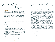

Advent Reading: Luke 2:25-35 Simeon the God-Holder

### Personal reflections:

Simeon was a good man who waited and waited and waited. He was waiting for God to do what he promised, which was to send the Rescuer. Simeon somehow knew that he himself would live to see God's promise fulfilled. And so he waited, attentive and expectant.

After a long lifetime of waiting, Simeon rejoiced to hold the very Rescuer in his arms. Simeon held the very "Desire of all Nations", the one they most longed for, the most treasured object they could imagine. I wonder whether Simeon was surprised that his protracted waiting had come to fruition in the form of a weeks-old infant? I suspect there was an element of surprise mixed with his joy and relief.

Although Simeon's story is somewhat jarring to modern minds in that we reject patience and waiting as personal affronts, I have to admit that I have much in common with him. Like Simeon, I am waiting on God for the next steps in my story, as well as for God's recalibration of all things that will be brought about by the Rescuer's return. The question, then, is how do I wait?

As usual, Augustine's insight into the Gospels is wise counsel, though challenging:

The entire life of a good Christian is in fact an exercise of holy desire. You do not yet see what you long for, but the very act of desiring prepares you, so that when he comes you may see and be utterly satisfied…

And this is how God deals with us. Simply by making us wait he increases our desire, which in turn enlarges the capacity of our soul, making it able to receive what is to be given to us.

So, my brethren, let us continue to desire, for we shall be filled

### Heart Prayer for this day:

Jesus, I am incompetent at waiting. I'm no Simeon.

Help me learn to wait.

Help me to sense deep in my soul that waiting is good for me.



Advent Reading: Matthew 2:1-12 a long walk to see God

### Personal Reflections:

Immediately after relating the story of Jesus' birth, the Gospel of Matthew records a surprising visit from afar. Matthew describes the visitors simply as "Magi from the east." In typical Gospel narrative fashion, we know little about the visitors: their names, the places from where they began their trek, what prompted them to begin such a journey into a land in which they were outsiders in every sense.

The magi then vanished as suddenly as they appeared. I wonder: what did they talk about during the days or weeks as they journeyed home? Did their meeting the Child change them? What was the story of the rest of their lives? But their story is akin to a Jane Austen novel that ends when the lovers marry but reveals nothing about the many years of married life. All we have is Matthew's narrative, and perhaps that's the point.

It may be that "God with us" is a description that signifies more than we think. Perhaps Matthew placed these mysterious visitors precisely here in his Gospel narrative in order to make clear that God's offer of nearness includes everyone, even those that I might consider outside the borders of grace. Such a likelihood is humbling.

I find the magi inspiring. They had heard rumors of God and followed after a star that seemed to overbrim its boundaries, sitting as it were on the rim between heaven and earth. The star could have asked them to come away forever and they would have done so. The unnamed magi, then, encourage those of us who find ourselves unable to follow such a difficult path.

### Heart Prayer for the day:

*God speaks to each of us, Then walks with us silently out of the night. These are the words we dimly hear: You, sent out beyond your recall, Go to the limits of your longing. Embody me. René Rilke Love Poems to God*

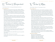### $\widetilde{\text{is for I}}$   $\widetilde{\text{p}$  expected

Advent Reading: 1 John 1:1-4 the unexpected, but hope for, has come true

### Personal Reflections:

The letter U is a cousin of the letter D in the Advent Alphabet. While D represents Dream in that Jesus is our wildest Dream, our most personal and intense desire, the letter U illustrates Unexpected. None of us expect our wildest, zaniest, most desired dreams to actually come true. Put on a small scale, we don't expect to awaken from a dream about good food and find our stomach filled.

But the Good News is that Jesus is our Dream-Come-True. That is, God has so arranged existence that we dream and yearn and hope that God is there and that he is good, and then Jesus arrived as the persuasion that God is indeed all that we imagined and more so.

Such an outrageous and audacious reality is completely unexpected. It's no wonder that even John, who had been Jesus' closest confidante, could barely write a sentence when he tried to describe what he had experienced:

From the very first day, we were there, taking it all in – we heard it with our own ears, saw it with our own eyes, verified it with our own hands. The Word of Life appeared right before our eyes; we saw it happen! And now we're telling you in most sober prose that what we witnessed was, incredibly, this: The infinite Life of God himself took shape before us.

Eugene Peterson in his translation The Message

We catch this notion of excited surprise when we read the Gospel accounts of people who encountered Jesus and unexpectedly were treated with considerate kindness:

The woman hauled before Jesus in John 8 did not expect to be treated with such sensitivity.

The leper in Luke 5 did not expect to be touched.

Zacchaeus did not expect Jesus to notice him at all, much less be singled out to host dinner.



Advent Reading: Galatians 4:4-7 born among us of a woman

### Personal Reflections:

Jazzy, who is one of our three cats, has trained me to participate in a standard protocol each time he runs upstairs to eat. Jazzy insists upon three acts. First, we begin at the foot of the stairs with my scratching his head and praising his good looks and sweet nature. After 10-15 seconds, he scampers a few stairsteps to the landing, at which point I repeat the scratching and praising. Finally he dashes to the top of the stairs and stops, looking back over his shoulder at me, which is my signal to stroke and praise a third time. Only then does he stroll to his food dishes. This process occurs 8-10 times a day.

I must be performing this duty well because our other two cats, who are keen observers of Jazzy, have begun to mimic his practice. But what I am not, is needed.

In a sense, this point illustrates the Incarnation. Every one of the estimated 100 billion births in human history has been triggered by the physical actions of a male and a female in some way – every one, that is, except the conception of Jesus. He who was the Unique One – the one of a kind -- who came directly by the action of God. His conception was the mysterious intrusion of sheer spirit into common flesh, immaterial fused with material, infinity unwinding inside the finite. It was a fitting way for God to become a human creature.

I think it's significant that the two Gospels that narrate that events of the birth of Jesus – Matthew and Luke – both describe Mary as a virgin. It's as if God were saying, I promised long ago that I would rescue you. I gave my word, my oath. It was a very personal promise. And I fulfilled it myself.

As today's Advent Reading makes clear: that which was supposed to happen, happened: But when the time arrived that was set by God the Father, God sent his Son, born among us of a woman,

Heart Prayer for this day:

*Jesus, you are the Soul-Enchanter.*

*Mesmerize me, so that I fix my eyes on you. Enthrall me, so that I cannot wander far. Spellbind me, so that I give you attention. Enchant me, so that my soul's eyes see clearly.*



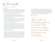

Advent Reading: Ephesians 5:14-16 Wake up, sleeper

### Personal Reflections:

When we attend a wake for a friend or family member, we are acknowledging that the person in whose memory the wake is held has transitioned from one reality to another. In this way, we look both backward and forward in terms of time. Advent serves the same purpose. It focuses our attention for these four weeks on what has come before and what is to come ahead.

I love when we imagine that coming moment that is itself very nearly unimaginable: the moment in which God completely restores his creation. I suspect that its reality will turn out to be far beyond our wildest dreams, but it is comforting and exciting to imagine it.

One of my favorite imaginations is at the conclusion of C.S. Lewis' The Lion, the Witch and the Wardrobe. It's the scene in which Aslan breathed on the loyal Narnian creatures that had been turned to stone by the Wicked Witch. Aslan's very breath restored life to each one. Here's an excerpt:

"Hush," said Susan, "Aslan's doing something."

He was indeed. He had bounded up to the stone lion and breathed on him. Then without waiting a moment he whisked round—almost as if he had been a cat chasing its tail—and breathed also on the stone dwarf, which (as you remember) was standing a few feet from the lion with his back to it. Then he pounced on a tall stone dryad which stood beyond the dwarf, turned rapidly aside to deal with a stone rabbit on his right, and rushed on to two centaurs. But at that moment Lucy said,

"Oh, Susan! Look! Look at the lion."

I expect you've seen someone put a lighted match to a bit of newspaper which is propped up in a grate against an unlit fire. And for a second nothing seems to have happened; and then you notice a tiny streak of flame creeping along the edge of the newspaper. It was like that now. For a second after Aslan had breathed upon him the stone lion looked just the same. Then a tiny streak of gold began to run along his white marble back—then it spread—then the color seemed to lick all over him as the flame licks all over a bit of paperthen, while his hindquarters were still obviously stone, the lion shook his mane and all the heavy, stone folds rippled into living hair. Then he opened a great red mouth, warm and living, and gave a prodigious yawn. And now his hind legs had come to life. He lifted one of them and scratched himself. Then, having caught sight of Aslan, he went bounding after him and frisking round him whimpering with delight and jumping up to lick his face.

### Heart Prayer for this day:

Jesus, you are the very Breath of God.

**Just as Tive by** breathing in and out, in and out,  $\widetilde{\Gamma}$  will live in the coming day by your breath of kindness and restoration.

Please, I ask you, keep me awake in this present time to this coming reality.



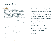

Advent Reading: 2 Corinthians 3:2-4 the little letter that stands for Christ

### Personal Reflections:

Wait a minute! How can the letter X stand for Christ?

In Greek, the language of the New Testament, the word Christ begins with the letter X (pronounced chi). Here's what Christ looks like in Greek: Χριστός

Within a century of Jesus' death and resurrection, his followers had popularized the use of X as a shorthand for the name of Christ by adopting the symbol of a fish as a code-word for their faith. Why the fish symbol? The word "fish" in Greek (ἰχθύς- pronounced ichthus) was an acrostic formed by the initial letters of each word in the phrase "Jesus Christ, Son of God, Savior." The fish image became the universal symbol of the faith, a fitting symbol in that it reminds us of many stories in the Gospels. By the end of the 2nd century, Tertullian described those who were being baptized as, "Little fishes, after the image of our Fish, born in water."

The fish symbol was the secret code that protected Jesus' followers during the continual persecution that marked the first three centuries. It was a secure password for safely identifying themselves to each other. It was scratched on walls or rocks to point the way to gatherings. And the fish symbol can be seen today in the Roman catacombs, which were subterranean passageways that were used as burial sites. It was here in the catacombs that Jesus' followers could bury their loved ones and adorn the grave with Christian symbols and artwork as an expression of faith even in the face of death.

In effect, the letter X can be described as "the little letter that stands for Christ." And so are we. In today's Advent Reading, the apostle Paul makes use of this analogy; you are a letter of Christ, cared for by us. You weren't written with ink but with the Spirit of the living God. You weren't written on tablets of stone but on tablets of human hearts.

### Heart Prayer for this day:

*Jesus, you are the one Constant in the universe, always yourself, always authentic, and always gripping me in love. And because you are always constant, I know I'm safe.*  $2\sqrt{e}$  are our epistle written in our hearts, known and read of all men:

 $3\overline{\text{Fors}}$  pasmatic as ye are manifestly declared to be the epistle of  $\bigcap_{n=1}^{\infty}$ ministered by us, written not with ink, but with the Spirit of the living  $\widetilde{G}$ od; not in tables of stone, but in fleshy tables of the heart.

 $^4$   $\overline{\text{H}}$ nd such trust have we through  $\widetilde{\mathrm{Rpr}}$ ist to  $\widetilde{\mathrm{Crot}}$ -ward:

*2 Corinthians 3:2-4*

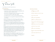

Advent Reading: Luke 2:40-52 Mary loses her son

### Personal reflections:

The Advent Readings have been packed with people who said yes:

- Joseph said yes even when it meant embarrassment and humiliation that his betrothed would bear a child that wasn't his.
- Mary said yes even though it meant shame and ridicule. How could she have done that to Joseph? the village tongues wagged.
- The shepherds said yes even when it meant leaving their guard post.
- The magi said yes to a wearying walk to a foreign country that would not be welcoming.

Each "yes" was a real choice. It's as if God is the great Author of a play containing scenes that are to go a certain way, but he has not scripted the scenes, preferring to trust the actors to bring each scene to life.

And each "Yes" was not singular, but required repeated, reinforcing Yeses. When the desert was freezing at night and the insistent star unwaveringly led westward, surely the magi looked at each other and nodded, Yes, let's keep going.

Even his mother Mary had to repeat her monumental Yes. Today's Advent Reading presents a scene twelve years after the events of Jesus' birth, at which time Mary and Joseph had settled into a normal family life in Nazareth. But normalcy was turned upside down by their son's unheard-of behavior during an annual religious obligation. Mary was reminded that her special son was indeed special, perhaps unimaginable so, and she had to build up a treasury of Yeses in preparation for what was to come.

We, too, must steel ourselves to follow these examples. The surety and efficacy of God's grace co-exist with our agency. Every moment of every day, this persistent God asks us to assent to his presence and is shaping of our soul. It is a supreme gift and an immense obligation.

### Heart Prayer for this day:

O Lord my God,

tell me what you are to me.

say to my soul,

I am your salvation.

 $\widetilde{\text{Say}}$  it so  $\widetilde{\text{Can}}$  hear it.

My heart is listening, Lord;

 $\mathcal O$  pen the ears of my heart

and say to my soul,

I am your salvation.

Let me run toward this voice

and seize hold of you.

 *Augustine*



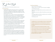

Advent reading: Psalm 121 the God whose attention never wavers

### Personal reflections:

I confess to shivering whenever I hear the words "zeal" or "zealous", both of which people use mainly as self-congratulations or a compliment. I shiver because I've seen zeal inflict deep wounds, perhaps wounds that never fully heal. And I'm ashamed that my own zeal has at times misdirected me toward prideful maltreatment of others.

I'm learning that "zeal" is one of those words in the Christian language that has moved far away from its referent. I've come to think that it's better to understand zeal as "attention", in that attention is a natural outworking of love. The poet J.D. McClatchy captured this notion perfectly: "Love is the quality of attention we pay to things." Attention, like love, is not easy. It requires intentionality, commitment, and fierce real-time choices.

Ah, that's it! We are never outside God's attention. That's why today's Advent reading nearly shouts at the end: the zeal of the Lord will accomplish this! Accomplish what? The disruption of the old world and the inexorable restoration of creation through the Son. I will give my full attention, my full commitment, my full energy toward your rescue, God says.

We are never outside God's attention. Neither the lost sheep nor lost coin nor lost son that Jesus described in Luke 15 were ever outside the attention of the one who loved them. You are the treasures of the Father and me, Jesus said in John 10, and no one will take you from our hand. It's his attention that keeps us in his hand, making us forever safe.

God gives us his attention even when we're unaware of it and even when we don't want it. It's his attention that grounds us, and I suspect we would cease to exist were his attention to stray from us. This insight of considering zeal to be attention causes me to recalibrate a great many things about how I think about and treat others, particularly those within arm's reach or the sound of my voice.

### Heart Prayer for this day:

Jesus, you are the God of Attention,

Whether it's dawn or noontide or sunset or moonrise or midnight,

your attention never wavers.

The runaway sheep thought it had run away, but your attention was on it all the way.

The dropped coin feared it would not be found, but your attention swept it back.

The aching prodigal feared his father's wrath, but your love restored him.

You always have your eye on me, too.

It's what keeps me safe.

<sup>1</sup> I will lift up mine eyes unto the hills, from whence cometh my help.

<sup>2</sup>My help cometh from the Lord, which made heaven and earth.

<sup>3</sup> He will not suffer thy foot to be moved: he that keepeth thee will not slumber.

<sup>4</sup> Behold, he that keepeth Israel shall neither slumber nor sleep.

<sup>5</sup> The Lord is thy keeper: the Lord is thy shade upon thy right hand.

<sup>6</sup>The sun shall not smite thee by day, nor the moon by night.

7 The Lord shall preserve thee from all evil: he shall preserve thy soul.

<sup>8</sup> The Lord shall preserve thy going out and thy coming in from this time forth, and even for evermore.

*Psalm 121* 



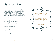

Advent reading: Revelation 5:1-14 the Lion who is the Lamb

### Personal reflections:

Christmas Eve is the one day of the year in which language is nearly inadequate to express our sensibilities. With joy and wonder spilling its normal boundaries, we turn toward bells and carols and glad faces of family and neighbors. Such things translate directly into our soul without need of mediation by words. Even our alphabet bows down on Christmas Day.

It's a day in which we sense in the deepest places of our soul that God wields grace as if it were free. If we are quiet and still, we can hear Jesus whispering to us:

When My kind Father, kinder than the sun,

With looks and smiles bends down

And utters My bodily life,

My flesh, obeying, praises Heaven like a smiling cloud…

And I will come and be your noon-day sun,

And make your shadows palaces of moving light:

And you will show Me your flowers.

Thomas Merton The Holy Child's Song

### Heart Prayer for this day:

*Jesus, you are God-Come-Near, not with thunderbolts or fanfare, but really among us, born a babe as all of us began. The Babe who makes all things well.* *Saying with a loud voice, Worthy is the Lamb that was slain to receive power, and riches, and wisdom, and strength, and honour, and glory, and blessing. And every creature which is in heaven, and on the earth, and under the earth, and such as are in the sea, and all that are in them, heard I saying, Blessing, and honour, and glory, and power, be unto him that sitteth upon the throne, and unto the Lamb for ever and ever.*

*Revelations 5:12-13*